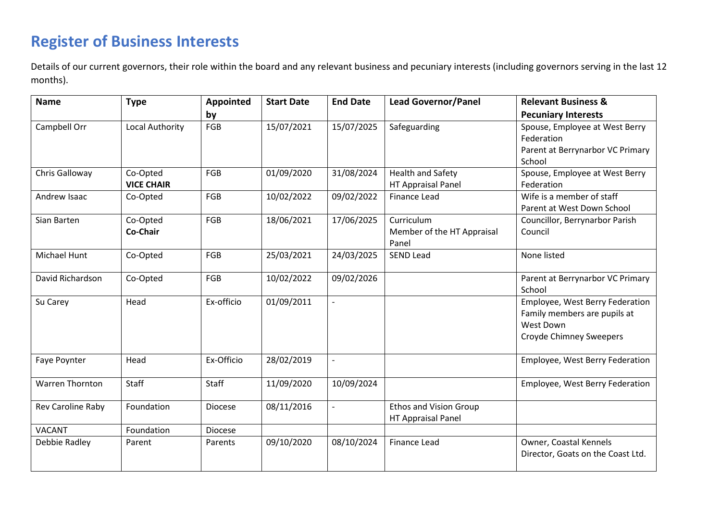## **Register of Business Interests**

Details of our current governors, their role within the board and any relevant business and pecuniary interests (including governors serving in the last 12 months).

| <b>Name</b>            | <b>Type</b>                   | Appointed  | <b>Start Date</b> | <b>End Date</b> | <b>Lead Governor/Panel</b>                            | <b>Relevant Business &amp;</b>                                                                          |
|------------------------|-------------------------------|------------|-------------------|-----------------|-------------------------------------------------------|---------------------------------------------------------------------------------------------------------|
|                        |                               | by         |                   |                 |                                                       | <b>Pecuniary Interests</b>                                                                              |
| Campbell Orr           | Local Authority               | FGB        | 15/07/2021        | 15/07/2025      | Safeguarding                                          | Spouse, Employee at West Berry<br>Federation<br>Parent at Berrynarbor VC Primary<br>School              |
| Chris Galloway         | Co-Opted<br><b>VICE CHAIR</b> | FGB        | 01/09/2020        | 31/08/2024      | <b>Health and Safety</b><br><b>HT Appraisal Panel</b> | Spouse, Employee at West Berry<br>Federation                                                            |
| Andrew Isaac           | Co-Opted                      | FGB        | 10/02/2022        | 09/02/2022      | <b>Finance Lead</b>                                   | Wife is a member of staff<br>Parent at West Down School                                                 |
| Sian Barten            | Co-Opted<br>Co-Chair          | FGB        | 18/06/2021        | 17/06/2025      | Curriculum<br>Member of the HT Appraisal<br>Panel     | Councillor, Berrynarbor Parish<br>Council                                                               |
| Michael Hunt           | Co-Opted                      | FGB        | 25/03/2021        | 24/03/2025      | <b>SEND Lead</b>                                      | None listed                                                                                             |
| David Richardson       | Co-Opted                      | FGB        | 10/02/2022        | 09/02/2026      |                                                       | Parent at Berrynarbor VC Primary<br>School                                                              |
| Su Carey               | Head                          | Ex-officio | 01/09/2011        | $\overline{a}$  |                                                       | Employee, West Berry Federation<br>Family members are pupils at<br>West Down<br>Croyde Chimney Sweepers |
| Faye Poynter           | Head                          | Ex-Officio | 28/02/2019        | l,              |                                                       | Employee, West Berry Federation                                                                         |
| <b>Warren Thornton</b> | Staff                         | Staff      | 11/09/2020        | 10/09/2024      |                                                       | Employee, West Berry Federation                                                                         |
| Rev Caroline Raby      | Foundation                    | Diocese    | 08/11/2016        | $\overline{a}$  | <b>Ethos and Vision Group</b><br>HT Appraisal Panel   |                                                                                                         |
| <b>VACANT</b>          | Foundation                    | Diocese    |                   |                 |                                                       |                                                                                                         |
| Debbie Radley          | Parent                        | Parents    | 09/10/2020        | 08/10/2024      | <b>Finance Lead</b>                                   | Owner, Coastal Kennels<br>Director, Goats on the Coast Ltd.                                             |